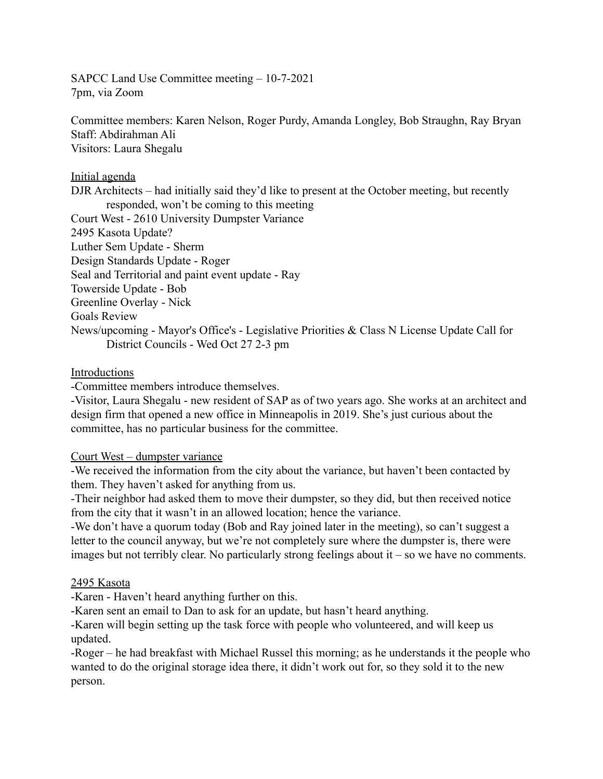SAPCC Land Use Committee meeting – 10-7-2021 7pm, via Zoom

Committee members: Karen Nelson, Roger Purdy, Amanda Longley, Bob Straughn, Ray Bryan Staff: Abdirahman Ali Visitors: Laura Shegalu

### Initial agenda

DJR Architects – had initially said they'd like to present at the October meeting, but recently responded, won't be coming to this meeting Court West - 2610 University Dumpster Variance 2495 Kasota Update? Luther Sem Update - Sherm Design Standards Update - Roger Seal and Territorial and paint event update - Ray Towerside Update - Bob Greenline Overlay - Nick Goals Review News/upcoming - Mayor's Office's - Legislative Priorities & Class N License Update Call for District Councils - Wed Oct 27 2-3 pm

### Introductions

-Committee members introduce themselves.

-Visitor, Laura Shegalu - new resident of SAP as of two years ago. She works at an architect and design firm that opened a new office in Minneapolis in 2019. She's just curious about the committee, has no particular business for the committee.

## Court West – dumpster variance

-We received the information from the city about the variance, but haven't been contacted by them. They haven't asked for anything from us.

-Their neighbor had asked them to move their dumpster, so they did, but then received notice from the city that it wasn't in an allowed location; hence the variance.

-We don't have a quorum today (Bob and Ray joined later in the meeting), so can't suggest a letter to the council anyway, but we're not completely sure where the dumpster is, there were images but not terribly clear. No particularly strong feelings about it – so we have no comments.

## 2495 Kasota

-Karen - Haven't heard anything further on this.

-Karen sent an email to Dan to ask for an update, but hasn't heard anything.

-Karen will begin setting up the task force with people who volunteered, and will keep us updated.

-Roger – he had breakfast with Michael Russel this morning; as he understands it the people who wanted to do the original storage idea there, it didn't work out for, so they sold it to the new person.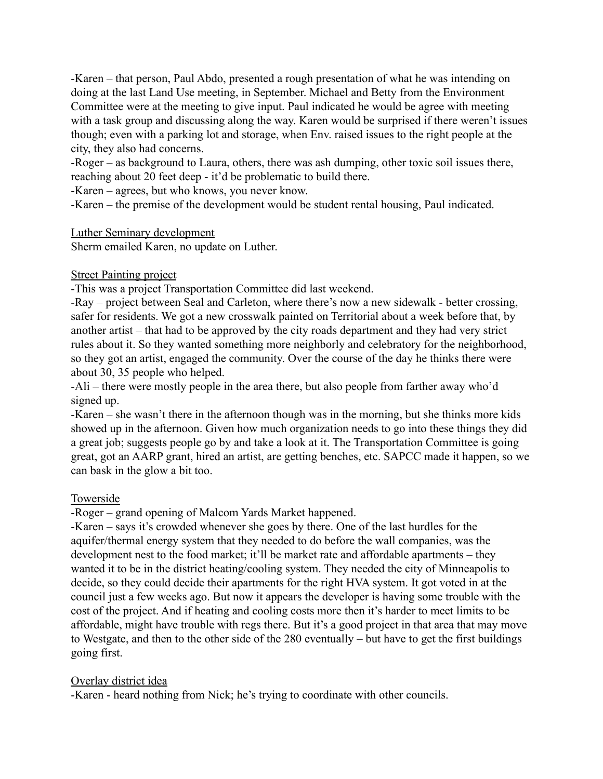-Karen – that person, Paul Abdo, presented a rough presentation of what he was intending on doing at the last Land Use meeting, in September. Michael and Betty from the Environment Committee were at the meeting to give input. Paul indicated he would be agree with meeting with a task group and discussing along the way. Karen would be surprised if there weren't issues though; even with a parking lot and storage, when Env. raised issues to the right people at the city, they also had concerns.

-Roger – as background to Laura, others, there was ash dumping, other toxic soil issues there, reaching about 20 feet deep - it'd be problematic to build there.

-Karen – agrees, but who knows, you never know.

-Karen – the premise of the development would be student rental housing, Paul indicated.

### Luther Seminary development

Sherm emailed Karen, no update on Luther.

### Street Painting project

-This was a project Transportation Committee did last weekend.

-Ray – project between Seal and Carleton, where there's now a new sidewalk - better crossing, safer for residents. We got a new crosswalk painted on Territorial about a week before that, by another artist – that had to be approved by the city roads department and they had very strict rules about it. So they wanted something more neighborly and celebratory for the neighborhood, so they got an artist, engaged the community. Over the course of the day he thinks there were about 30, 35 people who helped.

-Ali – there were mostly people in the area there, but also people from farther away who'd signed up.

-Karen – she wasn't there in the afternoon though was in the morning, but she thinks more kids showed up in the afternoon. Given how much organization needs to go into these things they did a great job; suggests people go by and take a look at it. The Transportation Committee is going great, got an AARP grant, hired an artist, are getting benches, etc. SAPCC made it happen, so we can bask in the glow a bit too.

### Towerside

-Roger – grand opening of Malcom Yards Market happened.

-Karen – says it's crowded whenever she goes by there. One of the last hurdles for the aquifer/thermal energy system that they needed to do before the wall companies, was the development nest to the food market; it'll be market rate and affordable apartments – they wanted it to be in the district heating/cooling system. They needed the city of Minneapolis to decide, so they could decide their apartments for the right HVA system. It got voted in at the council just a few weeks ago. But now it appears the developer is having some trouble with the cost of the project. And if heating and cooling costs more then it's harder to meet limits to be affordable, might have trouble with regs there. But it's a good project in that area that may move to Westgate, and then to the other side of the 280 eventually – but have to get the first buildings going first.

### Overlay district idea

-Karen - heard nothing from Nick; he's trying to coordinate with other councils.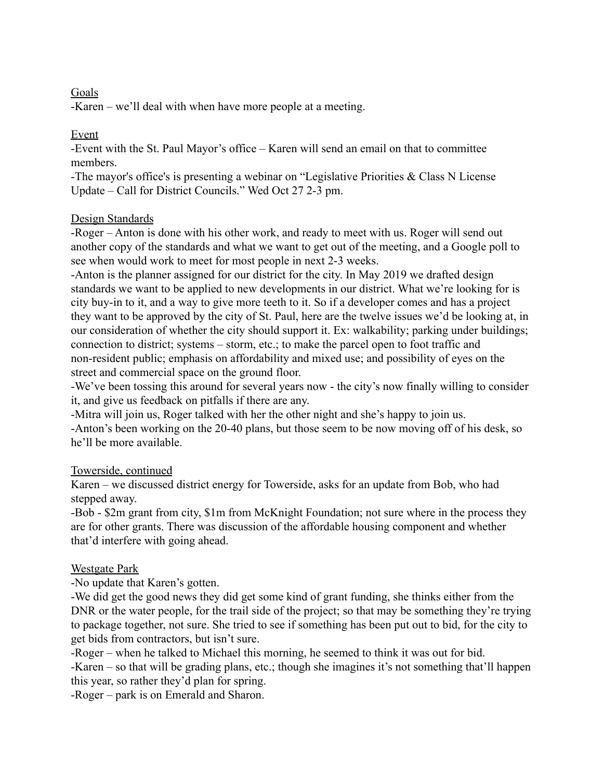## Goals

-Karen – we'll deal with when have more people at a meeting.

## Event

-Event with the St. Paul Mayor's office – Karen will send an email on that to committee members.

-The mayor's office's is presenting a webinar on "Legislative Priorities & Class N License Update – Call for District Councils." Wed Oct 27 2-3 pm.

## Design Standards

-Roger – Anton is done with his other work, and ready to meet with us. Roger will send out another copy of the standards and what we want to get out of the meeting, and a Google poll to see when would work to meet for most people in next 2-3 weeks.

-Anton is the planner assigned for our district for the city. In May 2019 we drafted design standards we want to be applied to new developments in our district. What we're looking for is city buy-in to it, and a way to give more teeth to it. So if a developer comes and has a project they want to be approved by the city of St. Paul, here are the twelve issues we'd be looking at, in our consideration of whether the city should support it. Ex: walkability; parking under buildings; connection to district; systems – storm, etc.; to make the parcel open to foot traffic and non-resident public; emphasis on affordability and mixed use; and possibility of eyes on the street and commercial space on the ground floor.

-We've been tossing this around for several years now - the city's now finally willing to consider it, and give us feedback on pitfalls if there are any.

-Mitra will join us, Roger talked with her the other night and she's happy to join us. -Anton's been working on the 20-40 plans, but those seem to be now moving off of his desk, so he'll be more available.

# Towerside, continued

Karen – we discussed district energy for Towerside, asks for an update from Bob, who had stepped away.

-Bob - \$2m grant from city, \$1m from McKnight Foundation; not sure where in the process they are for other grants. There was discussion of the affordable housing component and whether that'd interfere with going ahead.

# Westgate Park

-No update that Karen's gotten.

-We did get the good news they did get some kind of grant funding, she thinks either from the DNR or the water people, for the trail side of the project; so that may be something they're trying to package together, not sure. She tried to see if something has been put out to bid, for the city to get bids from contractors, but isn't sure.

-Roger – when he talked to Michael this morning, he seemed to think it was out for bid.

-Karen – so that will be grading plans, etc.; though she imagines it's not something that'll happen this year, so rather they'd plan for spring.

-Roger – park is on Emerald and Sharon.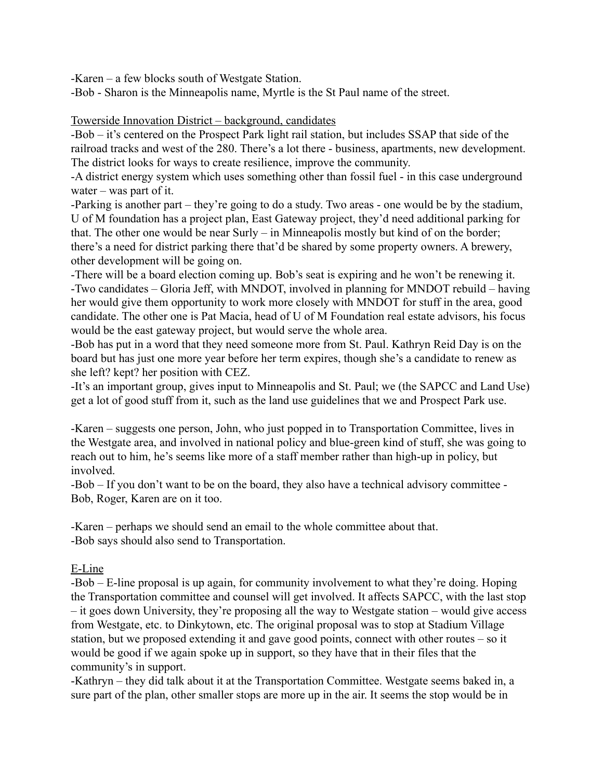-Karen – a few blocks south of Westgate Station.

-Bob - Sharon is the Minneapolis name, Myrtle is the St Paul name of the street.

### Towerside Innovation District – background, candidates

-Bob – it's centered on the Prospect Park light rail station, but includes SSAP that side of the railroad tracks and west of the 280. There's a lot there - business, apartments, new development. The district looks for ways to create resilience, improve the community.

-A district energy system which uses something other than fossil fuel - in this case underground water – was part of it.

-Parking is another part – they're going to do a study. Two areas - one would be by the stadium, U of M foundation has a project plan, East Gateway project, they'd need additional parking for that. The other one would be near Surly – in Minneapolis mostly but kind of on the border; there's a need for district parking there that'd be shared by some property owners. A brewery, other development will be going on.

-There will be a board election coming up. Bob's seat is expiring and he won't be renewing it. -Two candidates – Gloria Jeff, with MNDOT, involved in planning for MNDOT rebuild – having her would give them opportunity to work more closely with MNDOT for stuff in the area, good candidate. The other one is Pat Macia, head of U of M Foundation real estate advisors, his focus would be the east gateway project, but would serve the whole area.

-Bob has put in a word that they need someone more from St. Paul. Kathryn Reid Day is on the board but has just one more year before her term expires, though she's a candidate to renew as she left? kept? her position with CEZ.

-It's an important group, gives input to Minneapolis and St. Paul; we (the SAPCC and Land Use) get a lot of good stuff from it, such as the land use guidelines that we and Prospect Park use.

-Karen – suggests one person, John, who just popped in to Transportation Committee, lives in the Westgate area, and involved in national policy and blue-green kind of stuff, she was going to reach out to him, he's seems like more of a staff member rather than high-up in policy, but involved.

-Bob – If you don't want to be on the board, they also have a technical advisory committee - Bob, Roger, Karen are on it too.

-Karen – perhaps we should send an email to the whole committee about that. -Bob says should also send to Transportation.

## E-Line

-Bob – E-line proposal is up again, for community involvement to what they're doing. Hoping the Transportation committee and counsel will get involved. It affects SAPCC, with the last stop – it goes down University, they're proposing all the way to Westgate station – would give access from Westgate, etc. to Dinkytown, etc. The original proposal was to stop at Stadium Village station, but we proposed extending it and gave good points, connect with other routes – so it would be good if we again spoke up in support, so they have that in their files that the community's in support.

-Kathryn – they did talk about it at the Transportation Committee. Westgate seems baked in, a sure part of the plan, other smaller stops are more up in the air. It seems the stop would be in